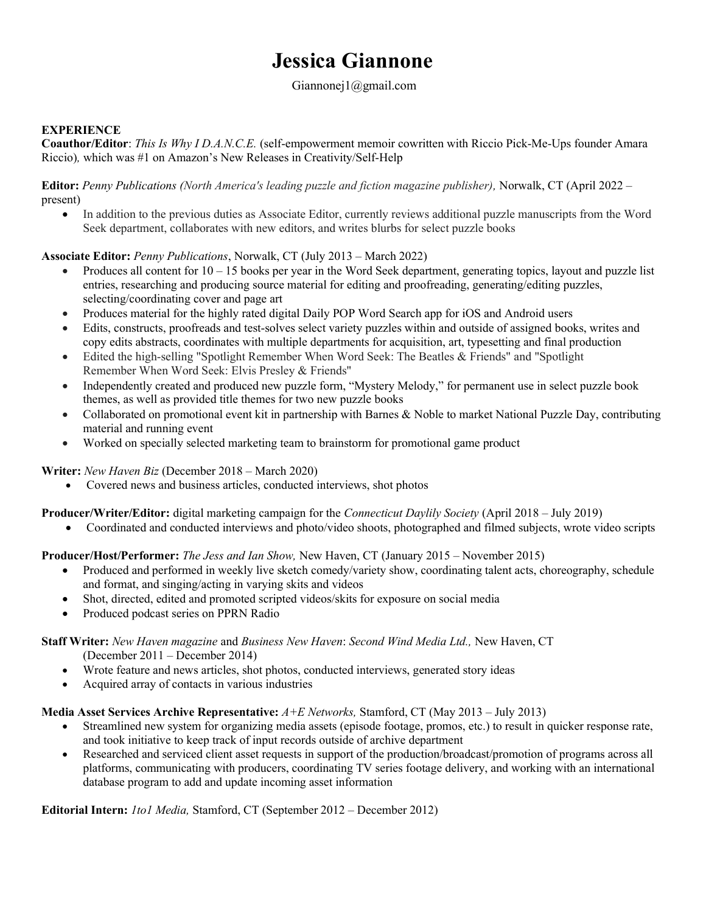# Jessica Giannone

## Giannonej1@gmail.com

## **EXPERIENCE**

Coauthor/Editor: This Is Why I D.A.N.C.E. (self-empowerment memoir cowritten with Riccio Pick-Me-Ups founder Amara Riccio), which was #1 on Amazon's New Releases in Creativity/Self-Help

Editor: Penny Publications (North America's leading puzzle and fiction magazine publisher), Norwalk, CT (April 2022 – present)

 In addition to the previous duties as Associate Editor, currently reviews additional puzzle manuscripts from the Word Seek department, collaborates with new editors, and writes blurbs for select puzzle books

### Associate Editor: Penny Publications, Norwalk, CT (July 2013 – March 2022)

- Produces all content for  $10 15$  books per year in the Word Seek department, generating topics, layout and puzzle list entries, researching and producing source material for editing and proofreading, generating/editing puzzles, selecting/coordinating cover and page art
- Produces material for the highly rated digital Daily POP Word Search app for iOS and Android users
- Edits, constructs, proofreads and test-solves select variety puzzles within and outside of assigned books, writes and copy edits abstracts, coordinates with multiple departments for acquisition, art, typesetting and final production
- Edited the high-selling "Spotlight Remember When Word Seek: The Beatles & Friends" and "Spotlight Remember When Word Seek: Elvis Presley & Friends"
- Independently created and produced new puzzle form, "Mystery Melody," for permanent use in select puzzle book themes, as well as provided title themes for two new puzzle books
- Collaborated on promotional event kit in partnership with Barnes & Noble to market National Puzzle Day, contributing material and running event
- Worked on specially selected marketing team to brainstorm for promotional game product

### Writer: New Haven Biz (December 2018 – March 2020)

Covered news and business articles, conducted interviews, shot photos

### Producer/Writer/Editor: digital marketing campaign for the *Connecticut Daylily Society* (April 2018 – July 2019)

Coordinated and conducted interviews and photo/video shoots, photographed and filmed subjects, wrote video scripts

### Producer/Host/Performer: The Jess and Ian Show, New Haven, CT (January 2015 – November 2015)

- Produced and performed in weekly live sketch comedy/variety show, coordinating talent acts, choreography, schedule and format, and singing/acting in varying skits and videos
- Shot, directed, edited and promoted scripted videos/skits for exposure on social media
- Produced podcast series on PPRN Radio

### Staff Writer: New Haven magazine and Business New Haven: Second Wind Media Ltd., New Haven, CT

- (December 2011 December 2014)
- Wrote feature and news articles, shot photos, conducted interviews, generated story ideas
- Acquired array of contacts in various industries

### Media Asset Services Archive Representative:  $A+E$  Networks, Stamford, CT (May 2013 – July 2013)

- Streamlined new system for organizing media assets (episode footage, promos, etc.) to result in quicker response rate, and took initiative to keep track of input records outside of archive department
- Researched and serviced client asset requests in support of the production/broadcast/promotion of programs across all platforms, communicating with producers, coordinating TV series footage delivery, and working with an international database program to add and update incoming asset information

Editorial Intern: 1to1 Media, Stamford, CT (September 2012 – December 2012)